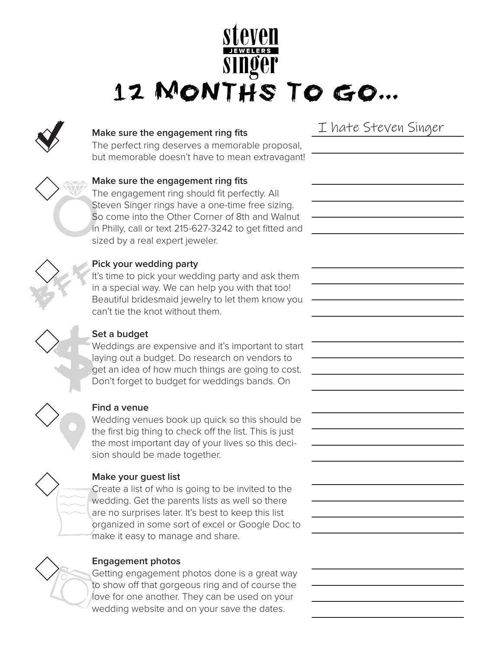# 12 MONTHS TO GO ...



## **Make sure the engagement ring fits**

The perfect ring deserves a memorable proposal, but memorable doesn't have to mean extravagant!



## **Make sure the engagement ring fits**

The engagement ring should fit perfectly. All Steven Singer rings have a one-time free sizing. So come into the Other Corner of 8th and Walnut in Philly, call or text 215-627-3242 to get fitted and sized by a real expert jeweler.



#### **Pick your wedding party**

It's time to pick your wedding party and ask them in a special way. We can help you with that too! Beautiful bridesmaid jewelry to let them know you can't tie the knot without them.



## **Set a budget**

Weddings are expensive and it's important to start laying out a budget. Do research on vendors to get an idea of how much things are going to cost. Don't forget to budget for weddings bands. On



#### **Find a venue**

Wedding venues book up quick so this should be the first big thing to check off the list. This is just the most important day of your lives so this decision should be made together.



#### **Make your guest list**

Create a list of who is going to be invited to the wedding. Get the parents lists as well so there are no surprises later. It's best to keep this list organized in some sort of excel or Google Doc to make it easy to manage and share.



#### **Engagement photos**

Getting engagement photos done is a great way to show off that gorgeous ring and of course the love for one another. They can be used on your wedding website and on your save the dates.

I hate Steven Singer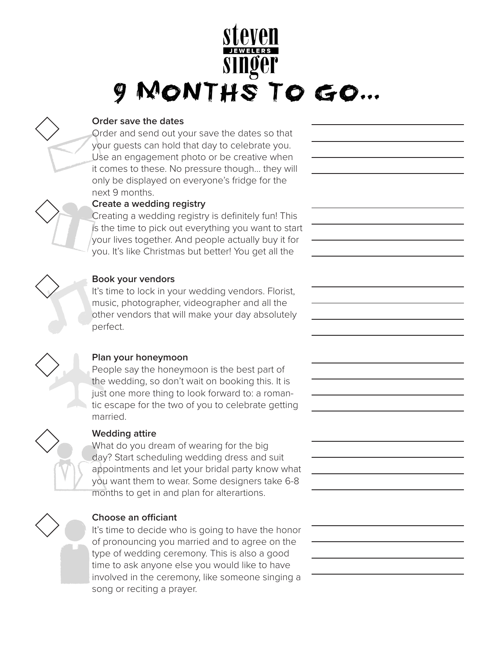## MONTHS TO GO ...



#### **Order save the dates**

Order and send out your save the dates so that your guests can hold that day to celebrate you. Use an engagement photo or be creative when it comes to these. No pressure though... they will only be displayed on everyone's fridge for the next 9 months.



## **Create a wedding registry**

Creating a wedding registry is definitely fun! This is the time to pick out everything you want to start your lives together. And people actually buy it for you. It's like Christmas but better! You get all the



## **Book your vendors**

It's time to lock in your wedding vendors. Florist, music, photographer, videographer and all the other vendors that will make your day absolutely perfect.



## **Plan your honeymoon**

People say the honeymoon is the best part of the wedding, so don't wait on booking this. It is just one more thing to look forward to: a romantic escape for the two of you to celebrate getting married.



#### **Wedding attire**

What do you dream of wearing for the big day? Start scheduling wedding dress and suit appointments and let your bridal party know what you want them to wear. Some designers take 6-8 months to get in and plan for alterartions.



## **Choose an officiant**

It's time to decide who is going to have the honor of pronouncing you married and to agree on the type of wedding ceremony. This is also a good time to ask anyone else you would like to have involved in the ceremony, like someone singing a song or reciting a prayer.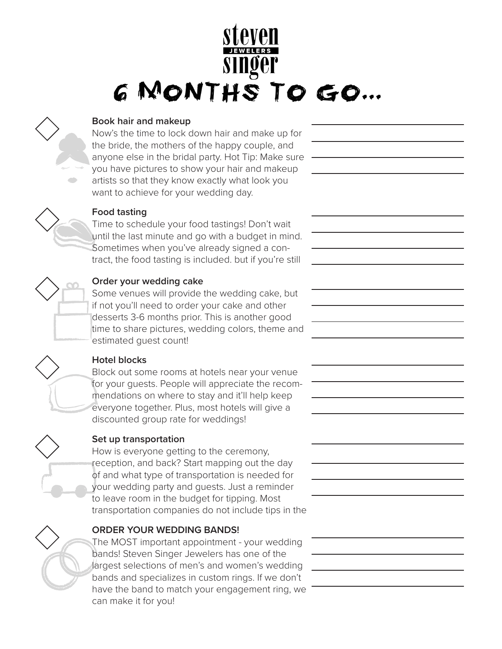## **G MONTHS TO GO...**



#### **Book hair and makeup**

Now's the time to lock down hair and make up for the bride, the mothers of the happy couple, and anyone else in the bridal party. Hot Tip: Make sure you have pictures to show your hair and makeup artists so that they know exactly what look you want to achieve for your wedding day.



#### **Food tasting**

Time to schedule your food tastings! Don't wait until the last minute and go with a budget in mind. Sometimes when you've already signed a contract, the food tasting is included. but if you're still



#### **Order your wedding cake**

Some venues will provide the wedding cake, but if not you'll need to order your cake and other desserts 3-6 months prior. This is another good time to share pictures, wedding colors, theme and estimated guest count!

#### **Hotel blocks**

Block out some rooms at hotels near your venue for your guests. People will appreciate the recommendations on where to stay and it'll help keep everyone together. Plus, most hotels will give a discounted group rate for weddings!



#### **Set up transportation**

How is everyone getting to the ceremony, reception, and back? Start mapping out the day of and what type of transportation is needed for your wedding party and guests. Just a reminder to leave room in the budget for tipping. Most transportation companies do not include tips in the

## **ORDER YOUR WEDDING BANDS!**

The MOST important appointment - your wedding bands! Steven Singer Jewelers has one of the largest selections of men's and women's wedding bands and specializes in custom rings. If we don't have the band to match your engagement ring, we can make it for you!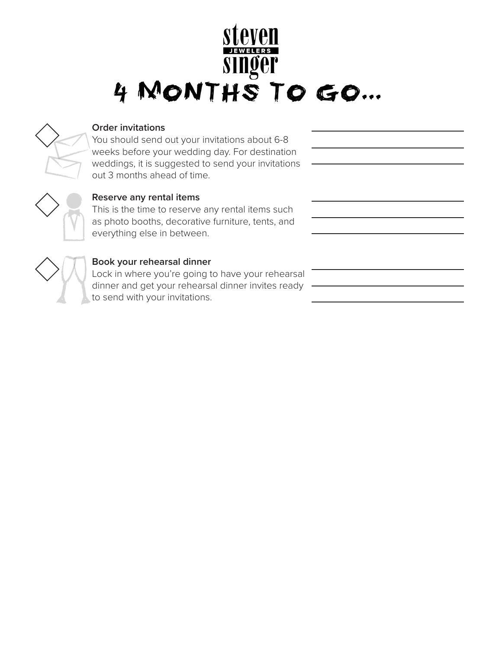## SINGET<br>4 MONTHS TO GO...



#### **Order invitations**

You should send out your invitations about 6-8 weeks before your wedding day. For destination weddings, it is suggested to send your invitations out 3 months ahead of time.



## **Reserve any rental items**

This is the time to reserve any rental items such as photo booths, decorative furniture, tents, and everything else in between.



## **Book your rehearsal dinner**

Lock in where you're going to have your rehearsal dinner and get your rehearsal dinner invites ready to send with your invitations.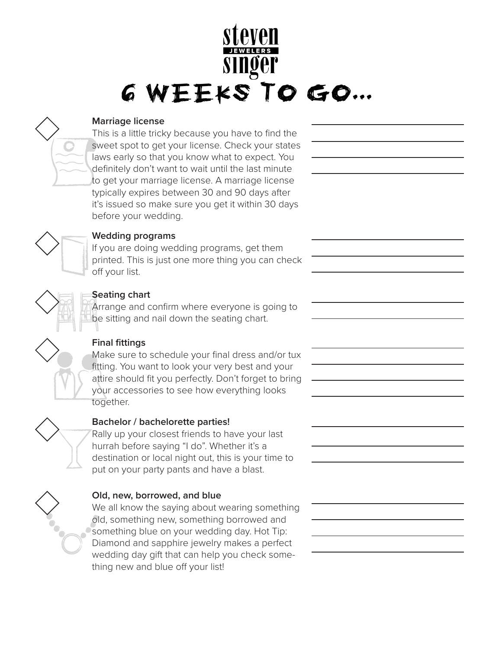## **GWEEKSTOGO...**

#### **Marriage license**

This is a little tricky because you have to find the sweet spot to get your license. Check your states laws early so that you know what to expect. You definitely don't want to wait until the last minute to get your marriage license. A marriage license typically expires between 30 and 90 days after it's issued so make sure you get it within 30 days before your wedding.



## **Wedding programs**

If you are doing wedding programs, get them printed. This is just one more thing you can check off your list.



#### **Seating chart**

Arrange and confirm where everyone is going to be sitting and nail down the seating chart.



## **Final fittings**

Make sure to schedule your final dress and/or tux fitting. You want to look your very best and your attire should fit you perfectly. Don't forget to bring your accessories to see how everything looks together.



## **Bachelor / bachelorette parties!**

Rally up your closest friends to have your last hurrah before saying "I do". Whether it's a destination or local night out, this is your time to put on your party pants and have a blast.

## **Old, new, borrowed, and blue**

We all know the saying about wearing something old, something new, something borrowed and something blue on your wedding day. Hot Tip: Diamond and sapphire jewelry makes a perfect wedding day gift that can help you check something new and blue off your list!